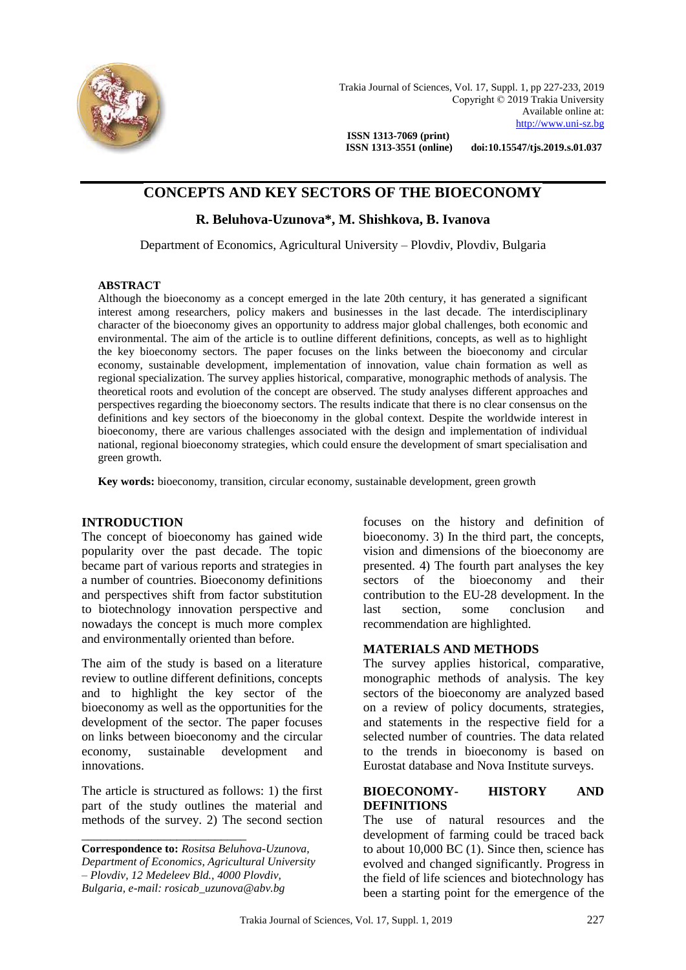

 **ISSN 1313-3551 (online) doi:10.15547/tjs.2019.s.01.037**

# **CONCEPTS AND KEY SECTORS OF THE BIOECONOMY**

# **R. Beluhova-Uzunova\*, M. Shishkova, B. Ivanova**

Department of Economics, Agricultural University – Plovdiv, Plovdiv, Bulgaria

#### **ABSTRACT**

Although the bioeconomy as a concept emerged in the late 20th century, it has generated a significant interest among researchers, policy makers and businesses in the last decade. The interdisciplinary character of the bioeconomy gives an opportunity to address major global challenges, both economic and environmental. The aim of the article is to outline different definitions, concepts, as well as to highlight the key bioeconomy sectors. The paper focuses on the links between the bioeconomy and circular economy, sustainable development, implementation of innovation, value chain formation as well as regional specialization. The survey applies historical, comparative, monographic methods of analysis. The theoretical roots and evolution of the concept are observed. The study analyses different approaches and perspectives regarding the bioeconomy sectors. The results indicate that there is no clear consensus on the definitions and key sectors of the bioeconomy in the global context. Despite the worldwide interest in bioeconomy, there are various challenges associated with the design and implementation of individual national, regional bioeconomy strategies, which could ensure the development of smart specialisation and green growth.

**Key words:** bioeconomy, transition, circular economy, sustainable development, green growth

#### **INTRODUCTION**

The concept of bioeconomy has gained wide popularity over the past decade. The topic became part of various reports and strategies in a number of countries. Bioeconomy definitions and perspectives shift from factor substitution to biotechnology innovation perspective and nowadays the concept is much more complex and environmentally oriented than before.

The aim of the study is based on a literature review to outline different definitions, concepts and to highlight the key sector of the bioeconomy as well as the opportunities for the development of the sector. The paper focuses on links between bioeconomy and the circular economy, sustainable development and innovations.

The article is structured as follows: 1) the first part of the study outlines the material and methods of the survey. 2) The second section

**Correspondence to:** *Rositsa Beluhova-Uzunova, Department of Economics, Agricultural University – Plovdiv, 12 Medeleev Bld., 4000 Plovdiv, Bulgaria, e-mail: rosicab\_uzunova@abv.bg*

\_\_\_\_\_\_\_\_\_\_\_\_\_\_\_\_\_\_\_\_\_\_\_\_\_\_

focuses on the history and definition of bioeconomy. 3) In the third part, the concepts, vision and dimensions of the bioeconomy are presented. 4) The fourth part analyses the key sectors of the bioeconomy and their contribution to the EU-28 development. In the last section, some conclusion and recommendation are highlighted.

#### **MATERIALS AND METHODS**

The survey applies historical, comparative, monographic methods of analysis. The key sectors of the bioeconomy are analyzed based on a review of policy documents, strategies, and statements in the respective field for a selected number of countries. The data related to the trends in bioeconomy is based on Eurostat database and Nova Institute surveys.

#### **BIOECONOMY- HISTORY AND DEFINITIONS**

The use of natural resources and the development of farming could be traced back to about 10,000 BC (1). Since then, science has evolved and changed significantly. Progress in the field of life sciences and biotechnology has been a starting point for the emergence of the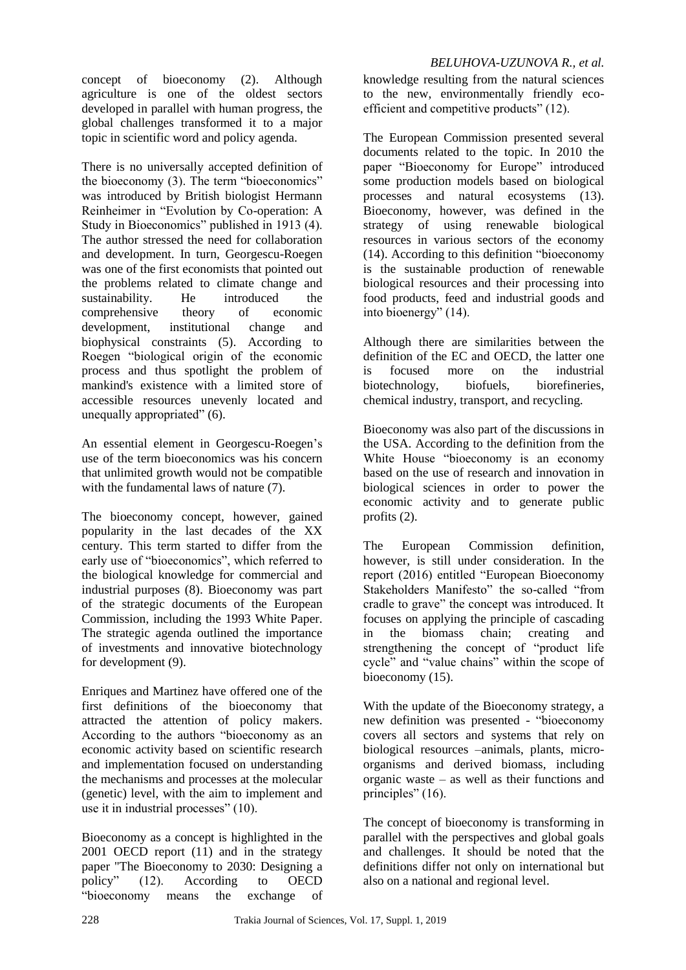concept of bioeconomy (2). Although agriculture is one of the oldest sectors developed in parallel with human progress, the global challenges transformed it to a major topic in scientific word and policy agenda.

There is no universally accepted definition of the bioeconomy (3). The term "bioeconomics" was introduced by British biologist Hermann Reinheimer in "Evolution by Co-operation: A Study in Bioeconomics" published in 1913 (4). The author stressed the need for collaboration and development. In turn, Georgescu-Roegen was one of the first economists that pointed out the problems related to climate change and sustainability. He introduced the comprehensive theory of economic development, institutional change and biophysical constraints (5). According to Roegen "biological origin of the economic process and thus spotlight the problem of mankind's existence with a limited store of accessible resources unevenly located and unequally appropriated" (6).

An essential element in Georgescu-Roegen's use of the term bioeconomics was his concern that unlimited growth would not be compatible with the fundamental laws of nature  $(7)$ .

The bioeconomy concept, however, gained popularity in the last decades of the XX century. This term started to differ from the early use of "bioeconomics", which referred to the biological knowledge for commercial and industrial purposes (8). Bioeconomy was part of the strategic documents of the European Commission, including the 1993 White Paper. The strategic agenda outlined the importance of investments and innovative biotechnology for development (9).

Enriques and Martinez have offered one of the first definitions of the bioeconomy that attracted the attention of policy makers. According to the authors "bioeconomy as an economic activity based on scientific research and implementation focused on understanding the mechanisms and processes at the molecular (genetic) level, with the aim to implement and use it in industrial processes" (10).

Bioeconomy as a concept is highlighted in the 2001 OECD report (11) and in the strategy paper "The Bioeconomy to 2030: Designing a policy" (12). According to OECD "bioeconomy means the exchange of

*BELUHOVA-UZUNOVA R., et al.* knowledge resulting from the natural sciences to the new, environmentally friendly ecoefficient and competitive products" (12).

The European Commission presented several documents related to the topic. In 2010 the paper "Bioeconomy for Europe" introduced some production models based on biological processes and natural ecosystems (13). Bioeconomy, however, was defined in the strategy of using renewable biological resources in various sectors of the economy (14). According to this definition "bioeconomy is the sustainable production of renewable biological resources and their processing into food products, feed and industrial goods and into bioenergy" (14).

Although there are similarities between the definition of the EC and OECD, the latter one is focused more on the industrial biotechnology, biofuels, biorefineries, chemical industry, transport, and recycling.

Bioeconomy was also part of the discussions in the USA. According to the definition from the White House "bioeconomy is an economy based on the use of research and innovation in biological sciences in order to power the economic activity and to generate public profits (2).

The European Commission definition, however, is still under consideration. In the report (2016) entitled "European Bioeconomy Stakeholders Manifesto" the so-called "from cradle to grave" the concept was introduced. It focuses on applying the principle of cascading in the biomass chain; creating and strengthening the concept of "product life cycle" and "value chains" within the scope of bioeconomy (15).

With the update of the Bioeconomy strategy, a new definition was presented - "bioeconomy covers all sectors and systems that rely on biological resources –animals, plants, microorganisms and derived biomass, including organic waste – as well as their functions and principles" (16).

The concept of bioeconomy is transforming in parallel with the perspectives and global goals and challenges. It should be noted that the definitions differ not only on international but also on a national and regional level.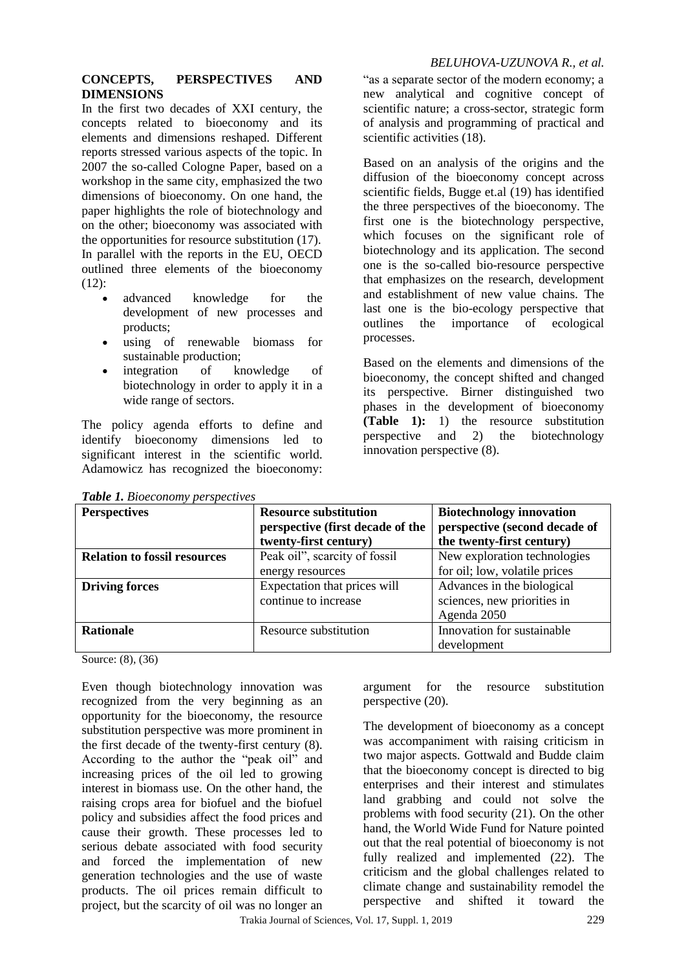## *BELUHOVA-UZUNOVA R., et al.*

#### **CONCEPTS, PERSPECTIVES AND DIMENSIONS**

In the first two decades of XXI century, the concepts related to bioeconomy and its elements and dimensions reshaped. Different reports stressed various aspects of the topic. In 2007 the so-called Cologne Paper, based on a workshop in the same city, emphasized the two dimensions of bioeconomy. On one hand, the paper highlights the role of biotechnology and on the other; bioeconomy was associated with the opportunities for resource substitution (17). In parallel with the reports in the EU, OECD outlined three elements of the bioeconomy  $(12)$ :

- advanced knowledge for the development of new processes and products;
- using of renewable biomass for sustainable production;
- integration of knowledge of biotechnology in order to apply it in a wide range of sectors.

The policy agenda efforts to define and identify bioeconomy dimensions led to significant interest in the scientific world. Adamowicz has recognized the bioeconomy:

"as a separate sector of the modern economy; a new analytical and cognitive concept of scientific nature; a cross-sector, strategic form of analysis and programming of practical and scientific activities (18).

Based on an analysis of the origins and the diffusion of the bioeconomy concept across scientific fields, Bugge et.al (19) has identified the three perspectives of the bioeconomy. The first one is the biotechnology perspective, which focuses on the significant role of biotechnology and its application. The second one is the so-called bio-resource perspective that emphasizes on the research, development and establishment of new value chains. The last one is the bio-ecology perspective that outlines the importance of ecological processes.

Based on the elements and dimensions of the bioeconomy, the concept shifted and changed its perspective. Birner distinguished two phases in the development of bioeconomy **(Table 1):** 1) the resource substitution perspective and 2) the biotechnology innovation perspective (8).

| <b>Perspectives</b>                 | <b>Resource substitution</b>     | <b>Biotechnology innovation</b> |  |
|-------------------------------------|----------------------------------|---------------------------------|--|
|                                     | perspective (first decade of the | perspective (second decade of   |  |
|                                     | twenty-first century)            | the twenty-first century)       |  |
| <b>Relation to fossil resources</b> | Peak oil", scarcity of fossil    | New exploration technologies    |  |
|                                     | energy resources                 | for oil; low, volatile prices   |  |
| <b>Driving forces</b>               | Expectation that prices will     | Advances in the biological      |  |
|                                     | continue to increase             | sciences, new priorities in     |  |
|                                     |                                  | Agenda 2050                     |  |
| <b>Rationale</b>                    | Resource substitution            | Innovation for sustainable      |  |
|                                     |                                  | development                     |  |

*Table 1. Bioeconomy perspectives* 

Source: (8), (36)

Even though biotechnology innovation was recognized from the very beginning as an opportunity for the bioeconomy, the resource substitution perspective was more prominent in the first decade of the twenty-first century (8). According to the author the "peak oil" and increasing prices of the oil led to growing interest in biomass use. On the other hand, the raising crops area for biofuel and the biofuel policy and subsidies affect the food prices and cause their growth. These processes led to serious debate associated with food security and forced the implementation of new generation technologies and the use of waste products. The oil prices remain difficult to project, but the scarcity of oil was no longer an

argument for the resource substitution perspective (20).

The development of bioeconomy as a concept was accompaniment with raising criticism in two major aspects. Gottwald and Budde claim that the bioeconomy concept is directed to big enterprises and their interest and stimulates land grabbing and could not solve the problems with food security (21). On the other hand, the World Wide Fund for Nature pointed out that the real potential of bioeconomy is not fully realized and implemented  $(22)$ . The criticism and the global challenges related to climate change and sustainability remodel the perspective and shifted it toward the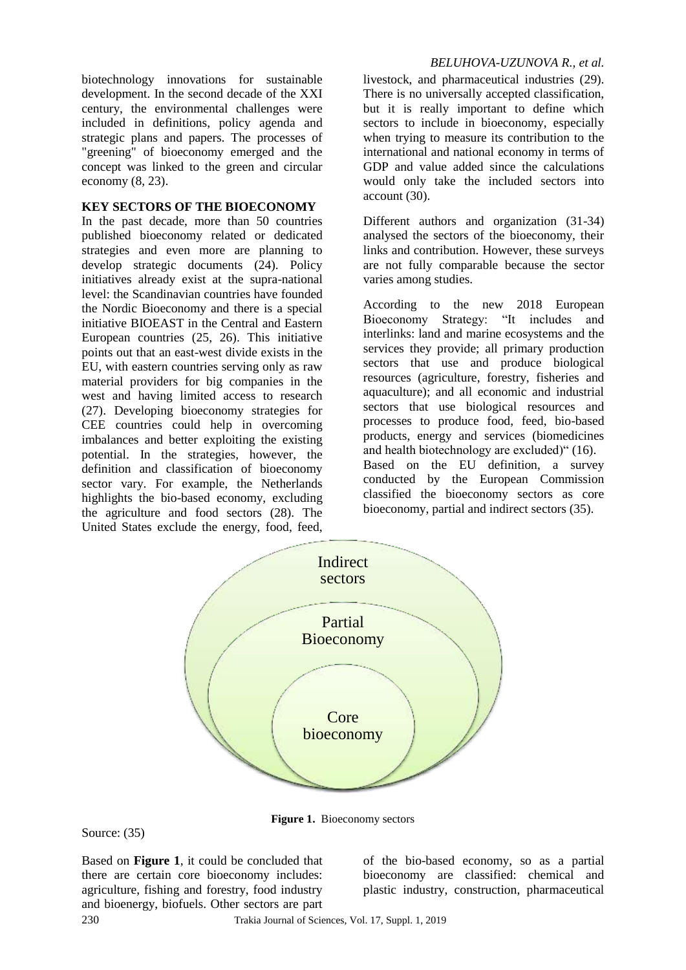biotechnology innovations for sustainable development. In the second decade of the XXI century, the environmental challenges were included in definitions, policy agenda and strategic plans and papers. The processes of "greening" of bioeconomy emerged and the concept was linked to the green and circular economy (8, 23).

#### **KEY SECTORS OF THE BIOECONOMY**

In the past decade, more than 50 countries published bioeconomy related or dedicated strategies and even more are planning to develop strategic documents (24). Policy initiatives already exist at the supra-national level: the Scandinavian countries have founded the Nordic Bioeconomy and there is a special initiative BIOEAST in the Central and Eastern European countries (25, 26). This initiative points out that an east-west divide exists in the EU, with eastern countries serving only as raw material providers for big companies in the west and having limited access to research (27). Developing bioeconomy strategies for CEE countries could help in overcoming imbalances and better exploiting the existing potential. In the strategies, however, the definition and classification of bioeconomy sector vary. For example, the Netherlands highlights the bio-based economy, excluding the agriculture and food sectors (28). The United States exclude the energy, food, feed,

## *BELUHOVA-UZUNOVA R., et al.*

livestock, and pharmaceutical industries (29). There is no universally accepted classification, but it is really important to define which sectors to include in bioeconomy, especially when trying to measure its contribution to the international and national economy in terms of GDP and value added since the calculations would only take the included sectors into account (30).

Different authors and organization (31-34) analysed the sectors of the bioeconomy, their links and contribution. However, these surveys are not fully comparable because the sector varies among studies.

According to the new 2018 European Bioeconomy Strategy: "It includes and interlinks: land and marine ecosystems and the services they provide; all primary production sectors that use and produce biological resources (agriculture, forestry, fisheries and aquaculture); and all economic and industrial sectors that use biological resources and processes to produce food, feed, bio-based products, energy and services (biomedicines and health biotechnology are excluded)" (16). Based on the EU definition, a survey conducted by the European Commission classified the bioeconomy sectors as core bioeconomy, partial and indirect sectors (35).



**Figure 1.** Bioeconomy sectors

Source: (35)

Based on **Figure 1**, it could be concluded that there are certain core bioeconomy includes: agriculture, fishing and forestry, food industry and bioenergy, biofuels. Other sectors are part

of the bio-based economy, so as a partial bioeconomy are classified: chemical and plastic industry, construction, pharmaceutical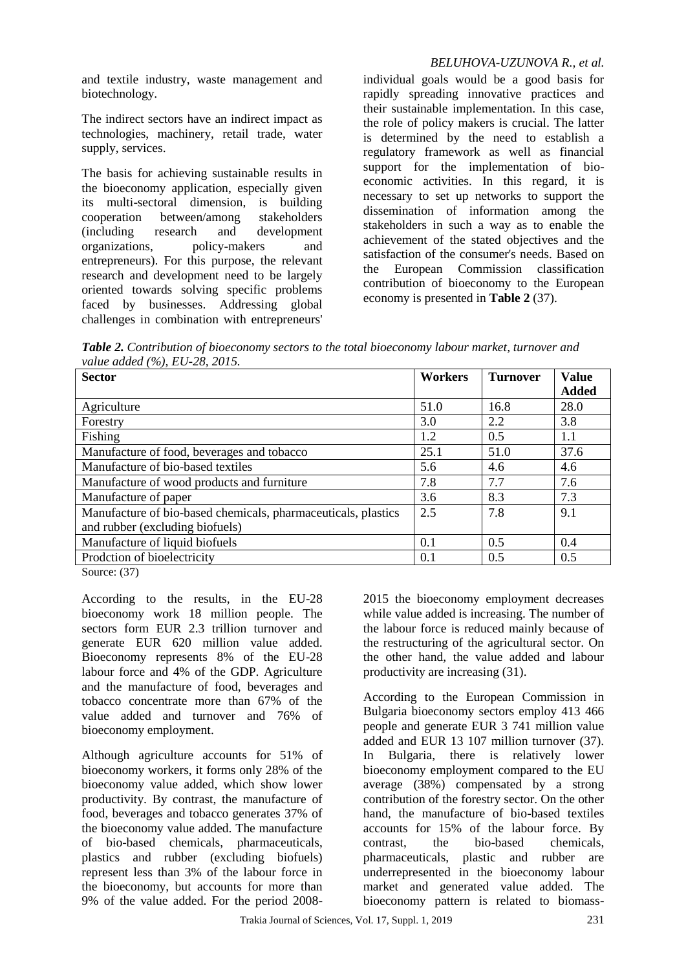and textile industry, waste management and biotechnology.

The indirect sectors have an indirect impact as technologies, machinery, retail trade, water supply, services.

The basis for achieving sustainable results in the bioeconomy application, especially given its multi-sectoral dimension, is building cooperation between/among stakeholders (including research and development organizations, policy-makers and entrepreneurs). For this purpose, the relevant research and development need to be largely oriented towards solving specific problems faced by businesses. Addressing global challenges in combination with entrepreneurs'

# *BELUHOVA-UZUNOVA R., et al.*

individual goals would be a good basis for rapidly spreading innovative practices and their sustainable implementation. In this case, the role of policy makers is crucial. The latter is determined by the need to establish a regulatory framework as well as financial support for the implementation of bioeconomic activities. In this regard, it is necessary to set up networks to support the dissemination of information among the stakeholders in such a way as to enable the achievement of the stated objectives and the satisfaction of the consumer's needs. Based on the European Commission classification contribution of bioeconomy to the European economy is presented in **Table 2** (37).

*Table 2. Contribution of bioeconomy sectors to the total bioeconomy labour market, turnover and value added (%), EU-28, 2015.*

| <b>Sector</b>                                                 | <b>Workers</b> | <b>Turnover</b> | <b>Value</b> |
|---------------------------------------------------------------|----------------|-----------------|--------------|
|                                                               |                |                 | <b>Added</b> |
| Agriculture                                                   | 51.0           | 16.8            | 28.0         |
| Forestry                                                      | 3.0            | 2.2             | 3.8          |
| Fishing                                                       | 1.2            | 0.5             | 1.1          |
| Manufacture of food, beverages and tobacco                    | 25.1           | 51.0            | 37.6         |
| Manufacture of bio-based textiles                             | 5.6            | 4.6             | 4.6          |
| Manufacture of wood products and furniture                    | 7.8            | 7.7             | 7.6          |
| Manufacture of paper                                          | 3.6            | 8.3             | 7.3          |
| Manufacture of bio-based chemicals, pharmaceuticals, plastics | 2.5            | 7.8             | 9.1          |
| and rubber (excluding biofuels)                               |                |                 |              |
| Manufacture of liquid biofuels                                | 0.1            | 0.5             | 0.4          |
| Prodction of bioelectricity                                   | 0.1            | 0.5             | 0.5          |

Source: (37)

According to the results, in the EU-28 bioeconomy work 18 million people. The sectors form EUR 2.3 trillion turnover and generate EUR 620 million value added. Bioeconomy represents 8% of the EU-28 labour force and 4% of the GDP. Agriculture and the manufacture of food, beverages and tobacco concentrate more than 67% of the value added and turnover and 76% of bioeconomy employment.

Although agriculture accounts for 51% of bioeconomy workers, it forms only 28% of the bioeconomy value added, which show lower productivity. By contrast, the manufacture of food, beverages and tobacco generates 37% of the bioeconomy value added. The manufacture of bio-based chemicals, pharmaceuticals, plastics and rubber (excluding biofuels) represent less than 3% of the labour force in the bioeconomy, but accounts for more than 9% of the value added. For the period 20082015 the bioeconomy employment decreases while value added is increasing. The number of the labour force is reduced mainly because of the restructuring of the agricultural sector. On the other hand, the value added and labour productivity are increasing (31).

According to the European Commission in Bulgaria bioeconomy sectors employ 413 466 people and generate EUR 3 741 million value added and EUR 13 107 million turnover (37). In Bulgaria, there is relatively lower bioeconomy employment compared to the EU average (38%) compensated by a strong contribution of the forestry sector. On the other hand, the manufacture of bio-based textiles accounts for 15% of the labour force. By contrast, the bio-based chemicals, pharmaceuticals, plastic and rubber are underrepresented in the bioeconomy labour market and generated value added. The bioeconomy pattern is related to biomass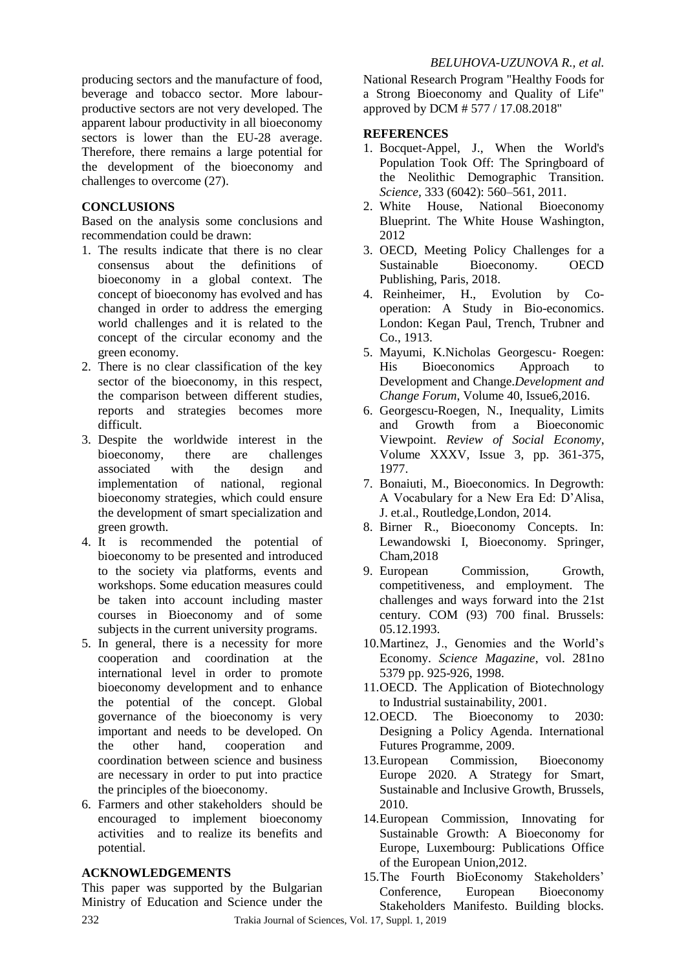producing sectors and the manufacture of food, beverage and tobacco sector. More labourproductive sectors are not very developed. The apparent labour productivity in all bioeconomy sectors is lower than the EU-28 average. Therefore, there remains a large potential for the development of the bioeconomy and challenges to overcome (27).

## **CONCLUSIONS**

Based on the analysis some conclusions and recommendation could be drawn:

- 1. The results indicate that there is no clear consensus about the definitions of bioeconomy in a global context. The concept of bioeconomy has evolved and has changed in order to address the emerging world challenges and it is related to the concept of the circular economy and the green economy.
- 2. There is no clear classification of the key sector of the bioeconomy, in this respect, the comparison between different studies, reports and strategies becomes more difficult.
- 3. Despite the worldwide interest in the bioeconomy, there are challenges associated with the design and implementation of national, regional bioeconomy strategies, which could ensure the development of smart specialization and green growth.
- 4. It is recommended the potential of bioeconomy to be presented and introduced to the society via platforms, events and workshops. Some education measures could be taken into account including master courses in Bioeconomy and of some subjects in the current university programs.
- 5. In general, there is a necessity for more cooperation and coordination at the international level in order to promote bioeconomy development and to enhance the potential of the concept. Global governance of the bioeconomy is very important and needs to be developed. On the other hand, cooperation and coordination between science and business are necessary in order to put into practice the principles of the bioeconomy.
- 6. Farmers and other stakeholders should be encouraged to implement bioeconomy activities and to realize its benefits and potential.

#### **ACKNOWLEDGEMENTS**

This paper was supported by the Bulgarian Ministry of Education and Science under the National Research Program "Healthy Foods for a Strong Bioeconomy and Quality of Life" approved by DCM # 577 / 17.08.2018"

#### **REFERENCES**

- 1. Bocquet-Appel, J., When the World's Population Took Off: The Springboard of the Neolithic Demographic Transition. *Science,* 333 (6042): 560–561, 2011.
- 2. White House, National Bioeconomy Blueprint. The White House Washington, 2012
- 3. OECD, Meeting Policy Challenges for a Sustainable Bioeconomy. OECD Publishing, Paris, 2018.
- 4. Reinheimer, H., Evolution by Cooperation: A Study in Bio-economics. London: Kegan Paul, Trench, Trubner and Co., 1913.
- 5. Mayumi, K.Nicholas Georgescu‐ Roegen: His Bioeconomics Approach to Development and Change.*Development and Change Forum*, Volume 40, Issue6,2016.
- 6. Georgescu-Roegen, N., Inequality, Limits and Growth from a Bioeconomic Viewpoint. *Review of Social Economy*, Volume XXXV, Issue 3, pp. 361-375, 1977.
- 7. Bonaiuti, M., Bioeconomics. In Degrowth: A Vocabulary for a New Era Ed: D'Alisa, J. et.al., Routledge,London, 2014.
- 8. Birner R., Bioeconomy Concepts. In: Lewandowski I, Bioeconomy. Springer, Cham,2018
- 9. European Commission, Growth, competitiveness, and employment. The challenges and ways forward into the 21st century. COM (93) 700 final. Brussels: 05.12.1993.
- 10.Martinez, J., Genomies and the World's Economy. *Science Magazine*, vol. 281no 5379 pp. 925-926, 1998.
- 11.OECD. The Application of Biotechnology to Industrial sustainability, 2001.
- 12.OECD. The Bioeconomy to 2030: Designing a Policy Agenda. International Futures Programme, 2009.
- 13.European Commission, Bioeconomy Europe 2020. A Strategy for Smart, Sustainable and Inclusive Growth, Brussels, 2010.
- 14.European Commission, Innovating for Sustainable Growth: A Bioeconomy for Europe, Luxembourg: Publications Office of the European Union,2012.
- 15.The Fourth BioEconomy Stakeholders' Conference, European Bioeconomy Stakeholders Manifesto. Building blocks.